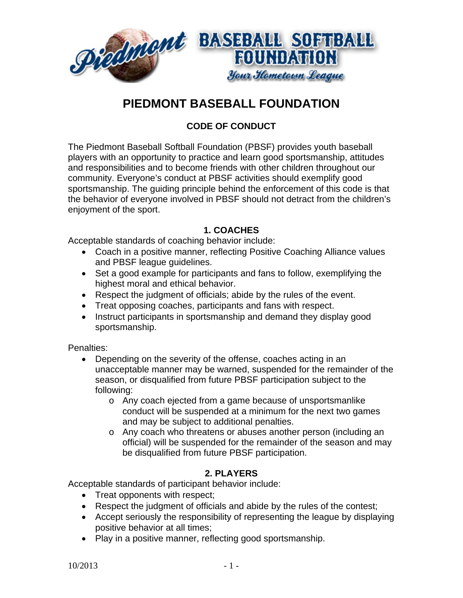

# **PIEDMONT BASEBALL FOUNDATION**

## **CODE OF CONDUCT**

The Piedmont Baseball Softball Foundation (PBSF) provides youth baseball players with an opportunity to practice and learn good sportsmanship, attitudes and responsibilities and to become friends with other children throughout our community. Everyone's conduct at PBSF activities should exemplify good sportsmanship. The guiding principle behind the enforcement of this code is that the behavior of everyone involved in PBSF should not detract from the children's enjoyment of the sport.

#### **1. COACHES**

Acceptable standards of coaching behavior include:

- Coach in a positive manner, reflecting Positive Coaching Alliance values and PBSF league guidelines.
- Set a good example for participants and fans to follow, exemplifying the highest moral and ethical behavior.
- Respect the judgment of officials; abide by the rules of the event.
- Treat opposing coaches, participants and fans with respect.
- Instruct participants in sportsmanship and demand they display good sportsmanship.

Penalties:

- Depending on the severity of the offense, coaches acting in an unacceptable manner may be warned, suspended for the remainder of the season, or disqualified from future PBSF participation subject to the following:
	- o Any coach ejected from a game because of unsportsmanlike conduct will be suspended at a minimum for the next two games and may be subject to additional penalties.
	- o Any coach who threatens or abuses another person (including an official) will be suspended for the remainder of the season and may be disqualified from future PBSF participation.

## **2. PLAYERS**

Acceptable standards of participant behavior include:

- Treat opponents with respect;
- Respect the judgment of officials and abide by the rules of the contest;
- Accept seriously the responsibility of representing the league by displaying positive behavior at all times;
- Play in a positive manner, reflecting good sportsmanship.